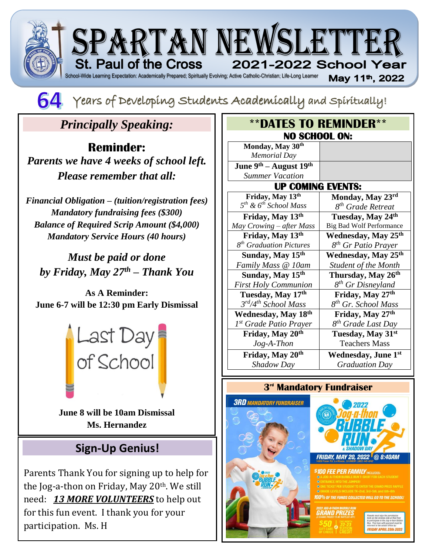



# *Principally Speaking:*

**Reminder:** *Parents we have 4 weeks of school left. Please remember that all:*

*Financial Obligation – (tuition/registration fees) Mandatory fundraising fees (\$300) Balance of Required Scrip Amount (\$4,000) Mandatory Service Hours (40 hours)*

*Must be paid or done by Friday, May 27th – Thank You*

**As A Reminder: June 6-7 will be 12:30 pm Early Dismissal**



**June 8 will be 10am Dismissal Ms. Hernandez**

## **Sign-Up Genius!**

:

Parents Thank You for signing up to help for the Jog-a-thon on Friday, May 20<sup>th</sup>. We still need: *13 MORE VOLUNTEERS* to help out for this fun event. I thank you for your participation. Ms. H

| <b><i>**DATES TO REMINDER**</i></b> |                                 |
|-------------------------------------|---------------------------------|
| <b>NO SCHOOL ON:</b>                |                                 |
| Monday, May 30th                    |                                 |
| <b>Memorial Day</b>                 |                                 |
| June $9th$ – August $19th$          |                                 |
| <b>Summer Vacation</b>              |                                 |
| <b>UP COMING EVENTS:</b>            |                                 |
| Friday, May 13th                    | Monday, May 23rd                |
| $5th$ & $6th$ School Mass           | 8 <sup>th</sup> Grade Retreat   |
| Friday, May 13th                    | Tuesday, May 24th               |
| May Crowing – after Mass            | <b>Big Bad Wolf Performance</b> |
| Friday, May 13th                    | Wednesday, May 25 <sup>th</sup> |
| 8 <sup>th</sup> Graduation Pictures | 8 <sup>th</sup> Gr Patio Prayer |
| Sunday, May 15th                    | <b>Wednesday, May 25th</b>      |
| Family Mass @ 10am                  | <b>Student of the Month</b>     |
| Sunday, May 15 <sup>th</sup>        | Thursday, May 26 <sup>th</sup>  |
| <b>First Holy Communion</b>         | 8 <sup>th</sup> Gr Disneyland   |
| Tuesday, May 17th                   | Friday, May 27th                |
| 3rd/4th School Mass                 | 8 <sup>th</sup> Gr. School Mass |
| Wednesday, May 18th                 | Friday, May 27th                |
| 1 <sup>st</sup> Grade Patio Prayer  | 8 <sup>th</sup> Grade Last Day  |
| Friday, May 20th                    | Tuesday, May 31st               |
| $Jog-A-Then$                        | <b>Teachers Mass</b>            |
| Friday, May 20th                    | <b>Wednesday, June 1st</b>      |
| Shadow Day                          | <b>Graduation Day</b>           |

### **3 rd Mandatory Fundraiser**





**00% of the funds collected will go to**